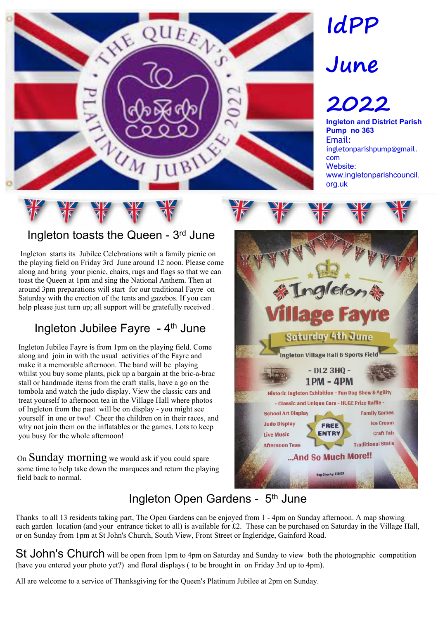

# **IdPP**

# **June**

## **2022**

**Ingleton and District Parish Pump no 363** Email: ingletonparishpump@gmail. com Website: www.ingletonparishcouncil. org.uk

#### Ingleton toasts the Queen - 3rd June

 Ingleton starts its Jubilee Celebrations wtih a family picnic on the playing field on Friday 3rd June around 12 noon. Please come along and bring your picnic, chairs, rugs and flags so that we can toast the Queen at 1pm and sing the National Anthem. Then at around 3pm preparations will start for our traditional Fayre on Saturday with the erection of the tents and gazebos. If you can help please just turn up; all support will be gratefully received .

#### Ingleton Jubilee Fayre - 4<sup>th</sup> June

Ingleton Jubilee Fayre is from 1pm on the playing field. Come along and join in with the usual activities of the Fayre and make it a memorable afternoon. The band will be playing whilst you buy some plants, pick up a bargain at the bric-a-brac stall or handmade items from the craft stalls, have a go on the tombola and watch the judo display. View the classic cars and treat yourself to afternoon tea in the Village Hall where photos of Ingleton from the past will be on display - you might see yourself in one or two! Cheer the children on in their races, and why not join them on the inflatables or the games. Lots to keep you busy for the whole afternoon!

On Sunday morning we would ask if you could spare some time to help take down the marquees and return the playing field back to normal.



### Ingleton Open Gardens - 5<sup>th</sup> June

Thanks to all 13 residents taking part, The Open Gardens can be enjoyed from 1 - 4pm on Sunday afternoon. A map showing each garden location (and your entrance ticket to all) is available for £2. These can be purchased on Saturday in the Village Hall, or on Sunday from 1pm at St John's Church, South View, Front Street or Ingleridge, Gainford Road.

St John's Church will be open from 1pm to 4pm on Saturday and Sunday to view both the photographic competition (have you entered your photo yet?) and floral displays ( to be brought in on Friday 3rd up to 4pm).

All are welcome to a service of Thanksgiving for the Queen's Platinum Jubilee at 2pm on Sunday.